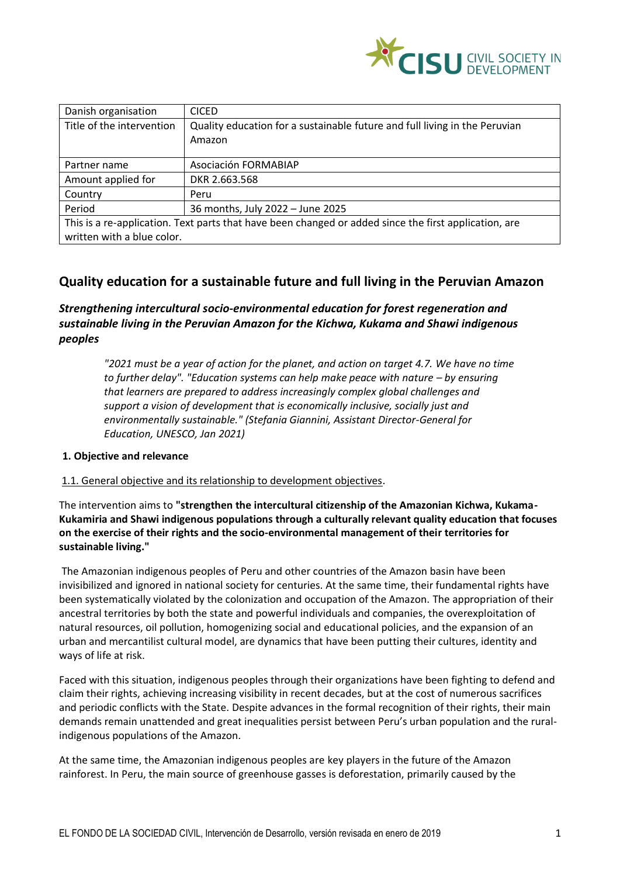

| Danish organisation                                                                                   | <b>CICED</b>                                                               |  |
|-------------------------------------------------------------------------------------------------------|----------------------------------------------------------------------------|--|
| Title of the intervention                                                                             | Quality education for a sustainable future and full living in the Peruvian |  |
|                                                                                                       | Amazon                                                                     |  |
|                                                                                                       |                                                                            |  |
| Partner name                                                                                          | Asociación FORMABIAP                                                       |  |
| Amount applied for                                                                                    | DKR 2.663.568                                                              |  |
| Country                                                                                               | Peru                                                                       |  |
| Period                                                                                                | 36 months, July 2022 - June 2025                                           |  |
| This is a re-application. Text parts that have been changed or added since the first application, are |                                                                            |  |
| written with a blue color.                                                                            |                                                                            |  |

# **Quality education for a sustainable future and full living in the Peruvian Amazon**

*Strengthening intercultural socio-environmental education for forest regeneration and sustainable living in the Peruvian Amazon for the Kichwa, Kukama and Shawi indigenous peoples*

*"2021 must be a year of action for the planet, and action on target 4.7. We have no time to further delay". "Education systems can help make peace with nature – by ensuring that learners are prepared to address increasingly complex global challenges and support a vision of development that is economically inclusive, socially just and environmentally sustainable." (Stefania Giannini, Assistant Director-General for Education, UNESCO, Jan 2021)*

## **1. Objective and relevance**

## 1.1. General objective and its relationship to development objectives.

The intervention aims to **"strengthen the intercultural citizenship of the Amazonian Kichwa, Kukama-Kukamiria and Shawi indigenous populations through a culturally relevant quality education that focuses on the exercise of their rights and the socio-environmental management of their territories for sustainable living."**

The Amazonian indigenous peoples of Peru and other countries of the Amazon basin have been invisibilized and ignored in national society for centuries. At the same time, their fundamental rights have been systematically violated by the colonization and occupation of the Amazon. The appropriation of their ancestral territories by both the state and powerful individuals and companies, the overexploitation of natural resources, oil pollution, homogenizing social and educational policies, and the expansion of an urban and mercantilist cultural model, are dynamics that have been putting their cultures, identity and ways of life at risk.

Faced with this situation, indigenous peoples through their organizations have been fighting to defend and claim their rights, achieving increasing visibility in recent decades, but at the cost of numerous sacrifices and periodic conflicts with the State. Despite advances in the formal recognition of their rights, their main demands remain unattended and great inequalities persist between Peru's urban population and the ruralindigenous populations of the Amazon.

At the same time, the Amazonian indigenous peoples are key players in the future of the Amazon rainforest. In Peru, the main source of greenhouse gasses is deforestation, primarily caused by the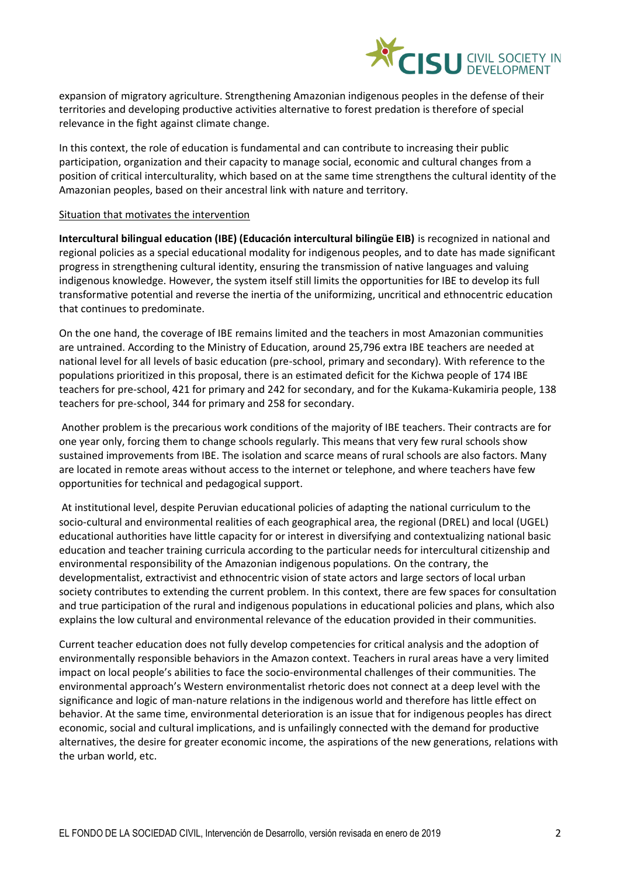

expansion of migratory agriculture. Strengthening Amazonian indigenous peoples in the defense of their territories and developing productive activities alternative to forest predation is therefore of special relevance in the fight against climate change.

In this context, the role of education is fundamental and can contribute to increasing their public participation, organization and their capacity to manage social, economic and cultural changes from a position of critical interculturality, which based on at the same time strengthens the cultural identity of the Amazonian peoples, based on their ancestral link with nature and territory.

#### Situation that motivates the intervention

**Intercultural bilingual education (IBE) (Educación intercultural bilingüe EIB)** is recognized in national and regional policies as a special educational modality for indigenous peoples, and to date has made significant progress in strengthening cultural identity, ensuring the transmission of native languages and valuing indigenous knowledge. However, the system itself still limits the opportunities for IBE to develop its full transformative potential and reverse the inertia of the uniformizing, uncritical and ethnocentric education that continues to predominate.

On the one hand, the coverage of IBE remains limited and the teachers in most Amazonian communities are untrained. According to the Ministry of Education, around 25,796 extra IBE teachers are needed at national level for all levels of basic education (pre-school, primary and secondary). With reference to the populations prioritized in this proposal, there is an estimated deficit for the Kichwa people of 174 IBE teachers for pre-school, 421 for primary and 242 for secondary, and for the Kukama-Kukamiria people, 138 teachers for pre-school, 344 for primary and 258 for secondary.

Another problem is the precarious work conditions of the majority of IBE teachers. Their contracts are for one year only, forcing them to change schools regularly. This means that very few rural schools show sustained improvements from IBE. The isolation and scarce means of rural schools are also factors. Many are located in remote areas without access to the internet or telephone, and where teachers have few opportunities for technical and pedagogical support.

At institutional level, despite Peruvian educational policies of adapting the national curriculum to the socio-cultural and environmental realities of each geographical area, the regional (DREL) and local (UGEL) educational authorities have little capacity for or interest in diversifying and contextualizing national basic education and teacher training curricula according to the particular needs for intercultural citizenship and environmental responsibility of the Amazonian indigenous populations. On the contrary, the developmentalist, extractivist and ethnocentric vision of state actors and large sectors of local urban society contributes to extending the current problem. In this context, there are few spaces for consultation and true participation of the rural and indigenous populations in educational policies and plans, which also explains the low cultural and environmental relevance of the education provided in their communities.

Current teacher education does not fully develop competencies for critical analysis and the adoption of environmentally responsible behaviors in the Amazon context. Teachers in rural areas have a very limited impact on local people's abilities to face the socio-environmental challenges of their communities. The environmental approach's Western environmentalist rhetoric does not connect at a deep level with the significance and logic of man-nature relations in the indigenous world and therefore has little effect on behavior. At the same time, environmental deterioration is an issue that for indigenous peoples has direct economic, social and cultural implications, and is unfailingly connected with the demand for productive alternatives, the desire for greater economic income, the aspirations of the new generations, relations with the urban world, etc.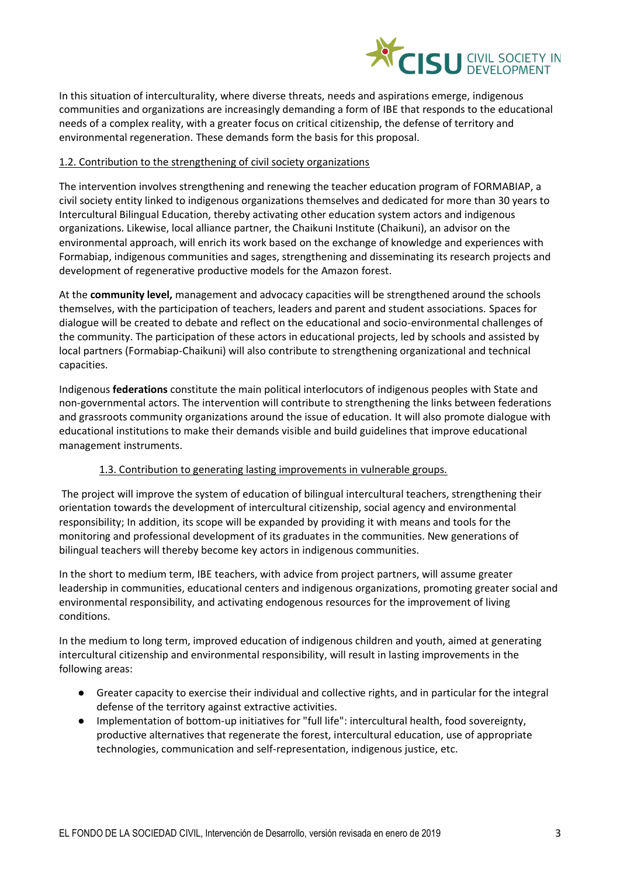

In this situation of interculturality, where diverse threats, needs and aspirations emerge, indigenous communities and organizations are increasingly demanding a form of IBE that responds to the educational needs of a complex reality, with a greater focus on critical citizenship, the defense of territory and environmental regeneration. These demands form the basis for this proposal.

# 1.2. Contribution to the strengthening of civil society organizations

The intervention involves strengthening and renewing the teacher education program of FORMABIAP, a civil society entity linked to indigenous organizations themselves and dedicated for more than 30 years to Intercultural Bilingual Education, thereby activating other education system actors and indigenous organizations. Likewise, local alliance partner, the Chaikuni Institute (Chaikuni), an advisor on the environmental approach, will enrich its work based on the exchange of knowledge and experiences with Formabiap, indigenous communities and sages, strengthening and disseminating its research projects and development of regenerative productive models for the Amazon forest.

At the **community level,** management and advocacy capacities will be strengthened around the schools themselves, with the participation of teachers, leaders and parent and student associations. Spaces for dialogue will be created to debate and reflect on the educational and socio-environmental challenges of the community. The participation of these actors in educational projects, led by schools and assisted by local partners (Formabiap-Chaikuni) will also contribute to strengthening organizational and technical capacities.

Indigenous **federations** constitute the main political interlocutors of indigenous peoples with State and non-governmental actors. The intervention will contribute to strengthening the links between federations and grassroots community organizations around the issue of education. It will also promote dialogue with educational institutions to make their demands visible and build guidelines that improve educational management instruments.

## 1.3. Contribution to generating lasting improvements in vulnerable groups.

The project will improve the system of education of bilingual intercultural teachers, strengthening their orientation towards the development of intercultural citizenship, social agency and environmental responsibility; In addition, its scope will be expanded by providing it with means and tools for the monitoring and professional development of its graduates in the communities. New generations of bilingual teachers will thereby become key actors in indigenous communities.

In the short to medium term, IBE teachers, with advice from project partners, will assume greater leadership in communities, educational centers and indigenous organizations, promoting greater social and environmental responsibility, and activating endogenous resources for the improvement of living conditions.

In the medium to long term, improved education of indigenous children and youth, aimed at generating intercultural citizenship and environmental responsibility, will result in lasting improvements in the following areas:

- Greater capacity to exercise their individual and collective rights, and in particular for the integral defense of the territory against extractive activities.
- Implementation of bottom-up initiatives for "full life": intercultural health, food sovereignty, productive alternatives that regenerate the forest, intercultural education, use of appropriate technologies, communication and self-representation, indigenous justice, etc.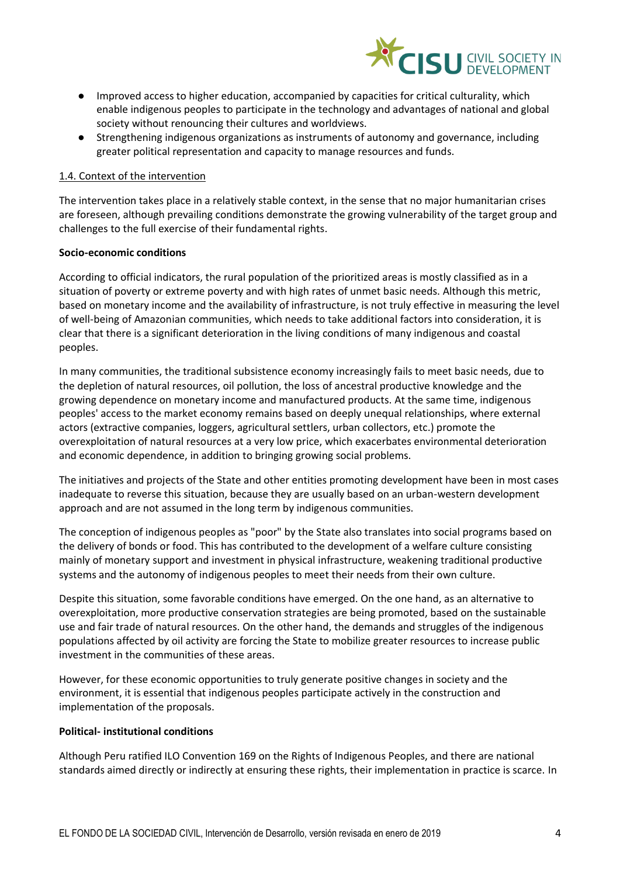

- Improved access to higher education, accompanied by capacities for critical culturality, which enable indigenous peoples to participate in the technology and advantages of national and global society without renouncing their cultures and worldviews.
- Strengthening indigenous organizations as instruments of autonomy and governance, including greater political representation and capacity to manage resources and funds.

#### 1.4. Context of the intervention

The intervention takes place in a relatively stable context, in the sense that no major humanitarian crises are foreseen, although prevailing conditions demonstrate the growing vulnerability of the target group and challenges to the full exercise of their fundamental rights.

#### **Socio-economic conditions**

According to official indicators, the rural population of the prioritized areas is mostly classified as in a situation of poverty or extreme poverty and with high rates of unmet basic needs. Although this metric, based on monetary income and the availability of infrastructure, is not truly effective in measuring the level of well-being of Amazonian communities, which needs to take additional factors into consideration, it is clear that there is a significant deterioration in the living conditions of many indigenous and coastal peoples.

In many communities, the traditional subsistence economy increasingly fails to meet basic needs, due to the depletion of natural resources, oil pollution, the loss of ancestral productive knowledge and the growing dependence on monetary income and manufactured products. At the same time, indigenous peoples' access to the market economy remains based on deeply unequal relationships, where external actors (extractive companies, loggers, agricultural settlers, urban collectors, etc.) promote the overexploitation of natural resources at a very low price, which exacerbates environmental deterioration and economic dependence, in addition to bringing growing social problems.

The initiatives and projects of the State and other entities promoting development have been in most cases inadequate to reverse this situation, because they are usually based on an urban-western development approach and are not assumed in the long term by indigenous communities.

The conception of indigenous peoples as "poor" by the State also translates into social programs based on the delivery of bonds or food. This has contributed to the development of a welfare culture consisting mainly of monetary support and investment in physical infrastructure, weakening traditional productive systems and the autonomy of indigenous peoples to meet their needs from their own culture.

Despite this situation, some favorable conditions have emerged. On the one hand, as an alternative to overexploitation, more productive conservation strategies are being promoted, based on the sustainable use and fair trade of natural resources. On the other hand, the demands and struggles of the indigenous populations affected by oil activity are forcing the State to mobilize greater resources to increase public investment in the communities of these areas.

However, for these economic opportunities to truly generate positive changes in society and the environment, it is essential that indigenous peoples participate actively in the construction and implementation of the proposals.

#### **Political- institutional conditions**

Although Peru ratified ILO Convention 169 on the Rights of Indigenous Peoples, and there are national standards aimed directly or indirectly at ensuring these rights, their implementation in practice is scarce. In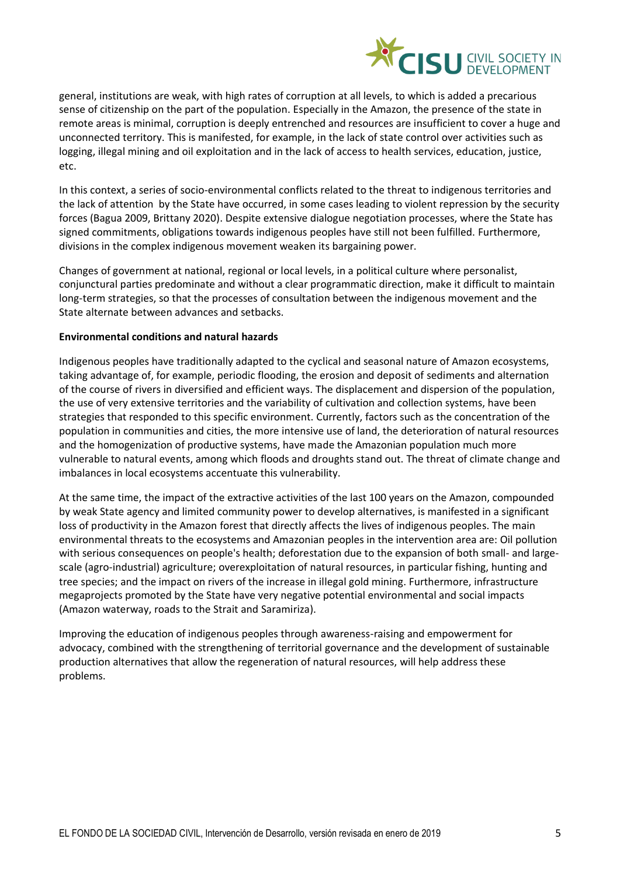

general, institutions are weak, with high rates of corruption at all levels, to which is added a precarious sense of citizenship on the part of the population. Especially in the Amazon, the presence of the state in remote areas is minimal, corruption is deeply entrenched and resources are insufficient to cover a huge and unconnected territory. This is manifested, for example, in the lack of state control over activities such as logging, illegal mining and oil exploitation and in the lack of access to health services, education, justice, etc.

In this context, a series of socio-environmental conflicts related to the threat to indigenous territories and the lack of attention by the State have occurred, in some cases leading to violent repression by the security forces (Bagua 2009, Brittany 2020). Despite extensive dialogue negotiation processes, where the State has signed commitments, obligations towards indigenous peoples have still not been fulfilled. Furthermore, divisions in the complex indigenous movement weaken its bargaining power.

Changes of government at national, regional or local levels, in a political culture where personalist, conjunctural parties predominate and without a clear programmatic direction, make it difficult to maintain long-term strategies, so that the processes of consultation between the indigenous movement and the State alternate between advances and setbacks.

## **Environmental conditions and natural hazards**

Indigenous peoples have traditionally adapted to the cyclical and seasonal nature of Amazon ecosystems, taking advantage of, for example, periodic flooding, the erosion and deposit of sediments and alternation of the course of rivers in diversified and efficient ways. The displacement and dispersion of the population, the use of very extensive territories and the variability of cultivation and collection systems, have been strategies that responded to this specific environment. Currently, factors such as the concentration of the population in communities and cities, the more intensive use of land, the deterioration of natural resources and the homogenization of productive systems, have made the Amazonian population much more vulnerable to natural events, among which floods and droughts stand out. The threat of climate change and imbalances in local ecosystems accentuate this vulnerability.

At the same time, the impact of the extractive activities of the last 100 years on the Amazon, compounded by weak State agency and limited community power to develop alternatives, is manifested in a significant loss of productivity in the Amazon forest that directly affects the lives of indigenous peoples. The main environmental threats to the ecosystems and Amazonian peoples in the intervention area are: Oil pollution with serious consequences on people's health; deforestation due to the expansion of both small- and largescale (agro-industrial) agriculture; overexploitation of natural resources, in particular fishing, hunting and tree species; and the impact on rivers of the increase in illegal gold mining. Furthermore, infrastructure megaprojects promoted by the State have very negative potential environmental and social impacts (Amazon waterway, roads to the Strait and Saramiriza).

Improving the education of indigenous peoples through awareness-raising and empowerment for advocacy, combined with the strengthening of territorial governance and the development of sustainable production alternatives that allow the regeneration of natural resources, will help address these problems.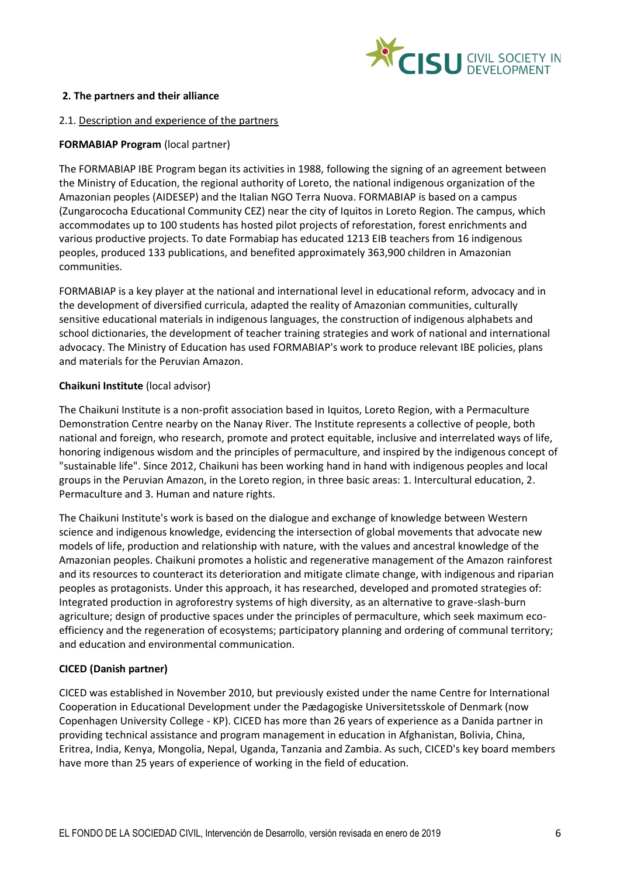

## **2. The partners and their alliance**

#### 2.1. Description and experience of the partners

## **FORMABIAP Program** (local partner)

The FORMABIAP IBE Program began its activities in 1988, following the signing of an agreement between the Ministry of Education, the regional authority of Loreto, the national indigenous organization of the Amazonian peoples (AIDESEP) and the Italian NGO Terra Nuova. FORMABIAP is based on a campus (Zungarococha Educational Community CEZ) near the city of Iquitos in Loreto Region. The campus, which accommodates up to 100 students has hosted pilot projects of reforestation, forest enrichments and various productive projects. To date Formabiap has educated 1213 EIB teachers from 16 indigenous peoples, produced 133 publications, and benefited approximately 363,900 children in Amazonian communities.

FORMABIAP is a key player at the national and international level in educational reform, advocacy and in the development of diversified curricula, adapted the reality of Amazonian communities, culturally sensitive educational materials in indigenous languages, the construction of indigenous alphabets and school dictionaries, the development of teacher training strategies and work of national and international advocacy. The Ministry of Education has used FORMABIAP's work to produce relevant IBE policies, plans and materials for the Peruvian Amazon.

## **Chaikuni Institute** (local advisor)

The Chaikuni Institute is a non-profit association based in Iquitos, Loreto Region, with a Permaculture Demonstration Centre nearby on the Nanay River. The Institute represents a collective of people, both national and foreign, who research, promote and protect equitable, inclusive and interrelated ways of life, honoring indigenous wisdom and the principles of permaculture, and inspired by the indigenous concept of "sustainable life". Since 2012, Chaikuni has been working hand in hand with indigenous peoples and local groups in the Peruvian Amazon, in the Loreto region, in three basic areas: 1. Intercultural education, 2. Permaculture and 3. Human and nature rights.

The Chaikuni Institute's work is based on the dialogue and exchange of knowledge between Western science and indigenous knowledge, evidencing the intersection of global movements that advocate new models of life, production and relationship with nature, with the values and ancestral knowledge of the Amazonian peoples. Chaikuni promotes a holistic and regenerative management of the Amazon rainforest and its resources to counteract its deterioration and mitigate climate change, with indigenous and riparian peoples as protagonists. Under this approach, it has researched, developed and promoted strategies of: Integrated production in agroforestry systems of high diversity, as an alternative to grave-slash-burn agriculture; design of productive spaces under the principles of permaculture, which seek maximum ecoefficiency and the regeneration of ecosystems; participatory planning and ordering of communal territory; and education and environmental communication.

## **CICED (Danish partner)**

CICED was established in November 2010, but previously existed under the name Centre for International Cooperation in Educational Development under the Pædagogiske Universitetsskole of Denmark (now Copenhagen University College - KP). CICED has more than 26 years of experience as a Danida partner in providing technical assistance and program management in education in Afghanistan, Bolivia, China, Eritrea, India, Kenya, Mongolia, Nepal, Uganda, Tanzania and Zambia. As such, CICED's key board members have more than 25 years of experience of working in the field of education.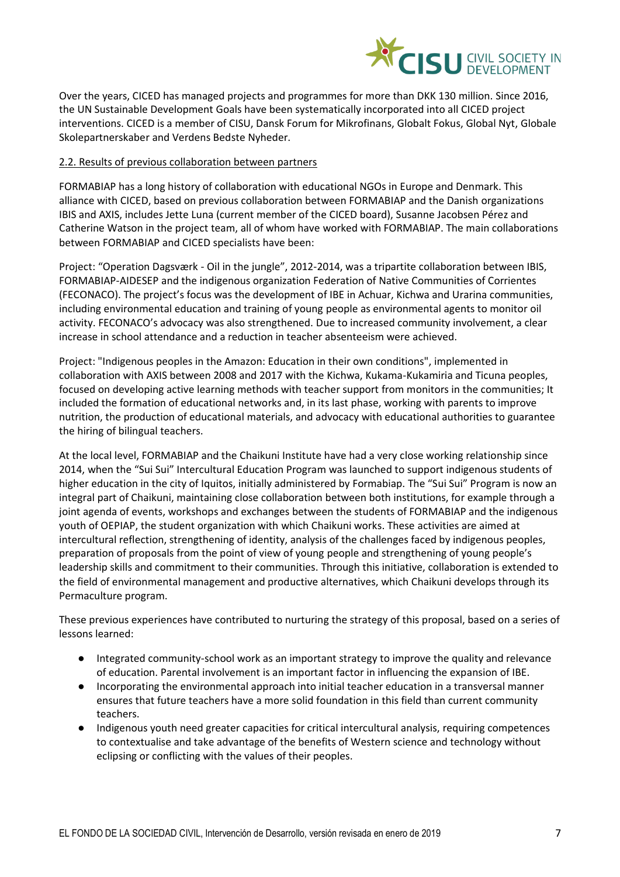

Over the years, CICED has managed projects and programmes for more than DKK 130 million. Since 2016, the UN Sustainable Development Goals have been systematically incorporated into all CICED project interventions. CICED is a member of CISU, Dansk Forum for Mikrofinans, Globalt Fokus, Global Nyt, Globale Skolepartnerskaber and Verdens Bedste Nyheder.

## 2.2. Results of previous collaboration between partners

FORMABIAP has a long history of collaboration with educational NGOs in Europe and Denmark. This alliance with CICED, based on previous collaboration between FORMABIAP and the Danish organizations IBIS and AXIS, includes Jette Luna (current member of the CICED board), Susanne Jacobsen Pérez and Catherine Watson in the project team, all of whom have worked with FORMABIAP. The main collaborations between FORMABIAP and CICED specialists have been:

Project: "Operation Dagsværk - Oil in the jungle", 2012-2014, was a tripartite collaboration between IBIS, FORMABIAP-AIDESEP and the indigenous organization Federation of Native Communities of Corrientes (FECONACO). The project's focus was the development of IBE in Achuar, Kichwa and Urarina communities, including environmental education and training of young people as environmental agents to monitor oil activity. FECONACO's advocacy was also strengthened. Due to increased community involvement, a clear increase in school attendance and a reduction in teacher absenteeism were achieved.

Project: "Indigenous peoples in the Amazon: Education in their own conditions", implemented in collaboration with AXIS between 2008 and 2017 with the Kichwa, Kukama-Kukamiria and Ticuna peoples, focused on developing active learning methods with teacher support from monitors in the communities; It included the formation of educational networks and, in its last phase, working with parents to improve nutrition, the production of educational materials, and advocacy with educational authorities to guarantee the hiring of bilingual teachers.

At the local level, FORMABIAP and the Chaikuni Institute have had a very close working relationship since 2014, when the "Sui Sui" Intercultural Education Program was launched to support indigenous students of higher education in the city of Iquitos, initially administered by Formabiap. The "Sui Sui" Program is now an integral part of Chaikuni, maintaining close collaboration between both institutions, for example through a joint agenda of events, workshops and exchanges between the students of FORMABIAP and the indigenous youth of OEPIAP, the student organization with which Chaikuni works. These activities are aimed at intercultural reflection, strengthening of identity, analysis of the challenges faced by indigenous peoples, preparation of proposals from the point of view of young people and strengthening of young people's leadership skills and commitment to their communities. Through this initiative, collaboration is extended to the field of environmental management and productive alternatives, which Chaikuni develops through its Permaculture program.

These previous experiences have contributed to nurturing the strategy of this proposal, based on a series of lessons learned:

- Integrated community-school work as an important strategy to improve the quality and relevance of education. Parental involvement is an important factor in influencing the expansion of IBE.
- Incorporating the environmental approach into initial teacher education in a transversal manner ensures that future teachers have a more solid foundation in this field than current community teachers.
- Indigenous youth need greater capacities for critical intercultural analysis, requiring competences to contextualise and take advantage of the benefits of Western science and technology without eclipsing or conflicting with the values of their peoples.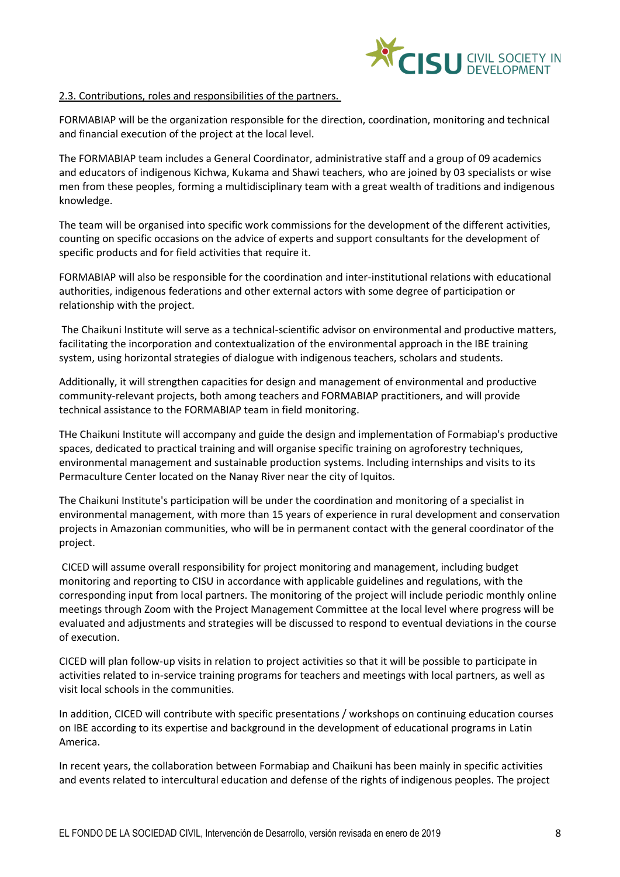

#### 2.3. Contributions, roles and responsibilities of the partners.

FORMABIAP will be the organization responsible for the direction, coordination, monitoring and technical and financial execution of the project at the local level.

The FORMABIAP team includes a General Coordinator, administrative staff and a group of 09 academics and educators of indigenous Kichwa, Kukama and Shawi teachers, who are joined by 03 specialists or wise men from these peoples, forming a multidisciplinary team with a great wealth of traditions and indigenous knowledge.

The team will be organised into specific work commissions for the development of the different activities, counting on specific occasions on the advice of experts and support consultants for the development of specific products and for field activities that require it.

FORMABIAP will also be responsible for the coordination and inter-institutional relations with educational authorities, indigenous federations and other external actors with some degree of participation or relationship with the project.

The Chaikuni Institute will serve as a technical-scientific advisor on environmental and productive matters, facilitating the incorporation and contextualization of the environmental approach in the IBE training system, using horizontal strategies of dialogue with indigenous teachers, scholars and students.

Additionally, it will strengthen capacities for design and management of environmental and productive community-relevant projects, both among teachers and FORMABIAP practitioners, and will provide technical assistance to the FORMABIAP team in field monitoring.

THe Chaikuni Institute will accompany and guide the design and implementation of Formabiap's productive spaces, dedicated to practical training and will organise specific training on agroforestry techniques, environmental management and sustainable production systems. Including internships and visits to its Permaculture Center located on the Nanay River near the city of Iquitos.

The Chaikuni Institute's participation will be under the coordination and monitoring of a specialist in environmental management, with more than 15 years of experience in rural development and conservation projects in Amazonian communities, who will be in permanent contact with the general coordinator of the project.

CICED will assume overall responsibility for project monitoring and management, including budget monitoring and reporting to CISU in accordance with applicable guidelines and regulations, with the corresponding input from local partners. The monitoring of the project will include periodic monthly online meetings through Zoom with the Project Management Committee at the local level where progress will be evaluated and adjustments and strategies will be discussed to respond to eventual deviations in the course of execution.

CICED will plan follow-up visits in relation to project activities so that it will be possible to participate in activities related to in-service training programs for teachers and meetings with local partners, as well as visit local schools in the communities.

In addition, CICED will contribute with specific presentations / workshops on continuing education courses on IBE according to its expertise and background in the development of educational programs in Latin America.

In recent years, the collaboration between Formabiap and Chaikuni has been mainly in specific activities and events related to intercultural education and defense of the rights of indigenous peoples. The project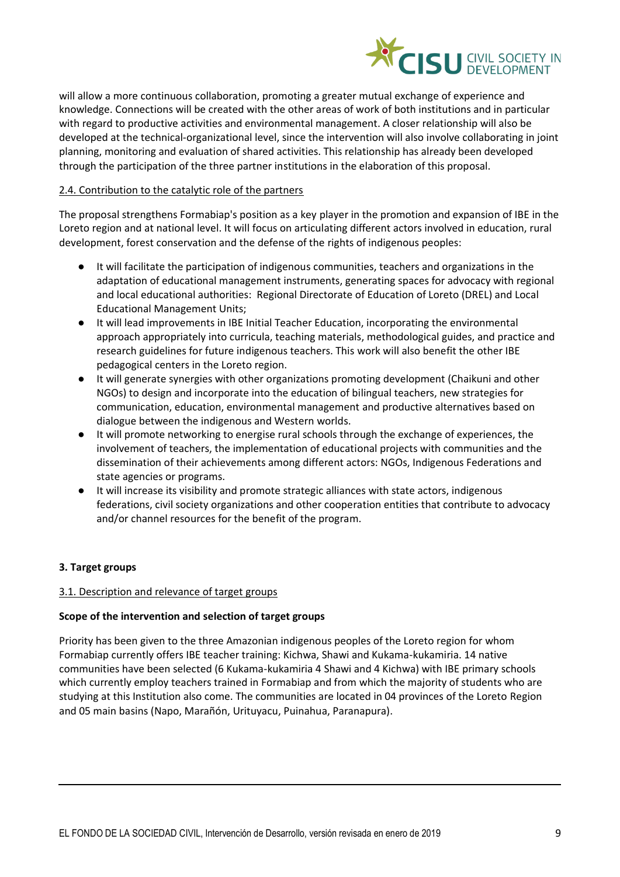

will allow a more continuous collaboration, promoting a greater mutual exchange of experience and knowledge. Connections will be created with the other areas of work of both institutions and in particular with regard to productive activities and environmental management. A closer relationship will also be developed at the technical-organizational level, since the intervention will also involve collaborating in joint planning, monitoring and evaluation of shared activities. This relationship has already been developed through the participation of the three partner institutions in the elaboration of this proposal.

## 2.4. Contribution to the catalytic role of the partners

The proposal strengthens Formabiap's position as a key player in the promotion and expansion of IBE in the Loreto region and at national level. It will focus on articulating different actors involved in education, rural development, forest conservation and the defense of the rights of indigenous peoples:

- It will facilitate the participation of indigenous communities, teachers and organizations in the adaptation of educational management instruments, generating spaces for advocacy with regional and local educational authorities: Regional Directorate of Education of Loreto (DREL) and Local Educational Management Units;
- It will lead improvements in IBE Initial Teacher Education, incorporating the environmental approach appropriately into curricula, teaching materials, methodological guides, and practice and research guidelines for future indigenous teachers. This work will also benefit the other IBE pedagogical centers in the Loreto region.
- It will generate synergies with other organizations promoting development (Chaikuni and other NGOs) to design and incorporate into the education of bilingual teachers, new strategies for communication, education, environmental management and productive alternatives based on dialogue between the indigenous and Western worlds.
- It will promote networking to energise rural schools through the exchange of experiences, the involvement of teachers, the implementation of educational projects with communities and the dissemination of their achievements among different actors: NGOs, Indigenous Federations and state agencies or programs.
- It will increase its visibility and promote strategic alliances with state actors, indigenous federations, civil society organizations and other cooperation entities that contribute to advocacy and/or channel resources for the benefit of the program.

# **3. Target groups**

## 3.1. Description and relevance of target groups

## **Scope of the intervention and selection of target groups**

Priority has been given to the three Amazonian indigenous peoples of the Loreto region for whom Formabiap currently offers IBE teacher training: Kichwa, Shawi and Kukama-kukamiria. 14 native communities have been selected (6 Kukama-kukamiria 4 Shawi and 4 Kichwa) with IBE primary schools which currently employ teachers trained in Formabiap and from which the majority of students who are studying at this Institution also come. The communities are located in 04 provinces of the Loreto Region and 05 main basins (Napo, Marañón, Urituyacu, Puinahua, Paranapura).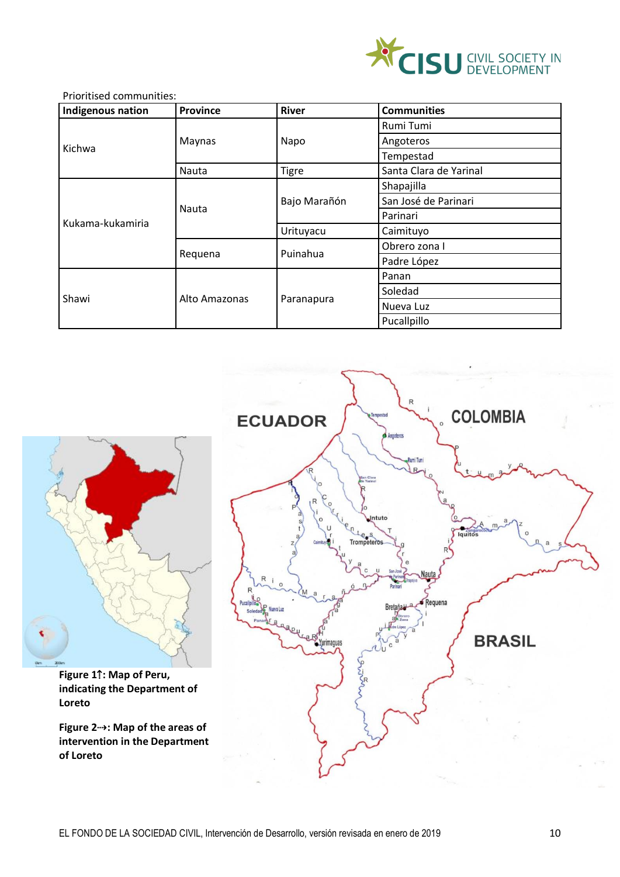

## Prioritised communities:

| Indigenous nation | <b>Province</b> | <b>River</b> | <b>Communities</b>     |
|-------------------|-----------------|--------------|------------------------|
|                   | Maynas          | Napo         | Rumi Tumi              |
|                   |                 |              | Angoteros              |
| Kichwa            |                 |              | Tempestad              |
|                   | Nauta           | <b>Tigre</b> | Santa Clara de Yarinal |
|                   | Nauta           | Bajo Marañón | Shapajilla             |
|                   |                 |              | San José de Parinari   |
|                   |                 |              | Parinari               |
| Kukama-kukamiria  |                 | Urituyacu    | Caimituyo              |
|                   | Requena         | Puinahua     | Obrero zona I          |
|                   |                 |              | Padre López            |
| Shawi             | Alto Amazonas   | Paranapura   | Panan                  |
|                   |                 |              | Soledad                |
|                   |                 |              | Nueva Luz              |
|                   |                 |              | Pucallpillo            |



**Figure 1**⇡**: Map of Peru, indicating the Department of Loreto**

**Figure 2**⇢**: Map of the areas of intervention in the Department of Loreto**

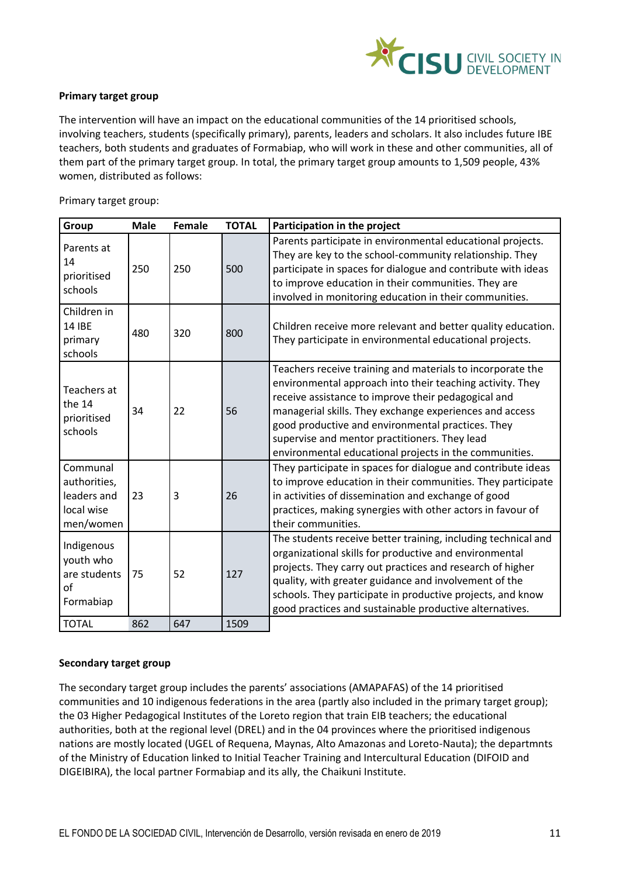

## **Primary target group**

The intervention will have an impact on the educational communities of the 14 prioritised schools, involving teachers, students (specifically primary), parents, leaders and scholars. It also includes future IBE teachers, both students and graduates of Formabiap, who will work in these and other communities, all of them part of the primary target group. In total, the primary target group amounts to 1,509 people, 43% women, distributed as follows:

Primary target group:

| Group                                                              | <b>Male</b> | <b>Female</b> | <b>TOTAL</b> | Participation in the project                                                                                                                                                                                                                                                                                                                                                                              |
|--------------------------------------------------------------------|-------------|---------------|--------------|-----------------------------------------------------------------------------------------------------------------------------------------------------------------------------------------------------------------------------------------------------------------------------------------------------------------------------------------------------------------------------------------------------------|
| Parents at<br>14<br>prioritised<br>schools                         | 250         | 250           | 500          | Parents participate in environmental educational projects.<br>They are key to the school-community relationship. They<br>participate in spaces for dialogue and contribute with ideas<br>to improve education in their communities. They are<br>involved in monitoring education in their communities.                                                                                                    |
| Children in<br>14 IBE<br>primary<br>schools                        | 480         | 320           | 800          | Children receive more relevant and better quality education.<br>They participate in environmental educational projects.                                                                                                                                                                                                                                                                                   |
| Teachers at<br>the 14<br>prioritised<br>schools                    | 34          | 22            | 56           | Teachers receive training and materials to incorporate the<br>environmental approach into their teaching activity. They<br>receive assistance to improve their pedagogical and<br>managerial skills. They exchange experiences and access<br>good productive and environmental practices. They<br>supervise and mentor practitioners. They lead<br>environmental educational projects in the communities. |
| Communal<br>authorities,<br>leaders and<br>local wise<br>men/women | 23          | 3             | 26           | They participate in spaces for dialogue and contribute ideas<br>to improve education in their communities. They participate<br>in activities of dissemination and exchange of good<br>practices, making synergies with other actors in favour of<br>their communities.                                                                                                                                    |
| Indigenous<br>youth who<br>are students<br>of<br>Formabiap         | 75          | 52            | 127          | The students receive better training, including technical and<br>organizational skills for productive and environmental<br>projects. They carry out practices and research of higher<br>quality, with greater guidance and involvement of the<br>schools. They participate in productive projects, and know<br>good practices and sustainable productive alternatives.                                    |
| <b>TOTAL</b>                                                       | 862         | 647           | 1509         |                                                                                                                                                                                                                                                                                                                                                                                                           |

## **Secondary target group**

The secondary target group includes the parents' associations (AMAPAFAS) of the 14 prioritised communities and 10 indigenous federations in the area (partly also included in the primary target group); the 03 Higher Pedagogical Institutes of the Loreto region that train EIB teachers; the educational authorities, both at the regional level (DREL) and in the 04 provinces where the prioritised indigenous nations are mostly located (UGEL of Requena, Maynas, Alto Amazonas and Loreto-Nauta); the departmnts of the Ministry of Education linked to Initial Teacher Training and Intercultural Education (DIFOID and DIGEIBIRA), the local partner Formabiap and its ally, the Chaikuni Institute.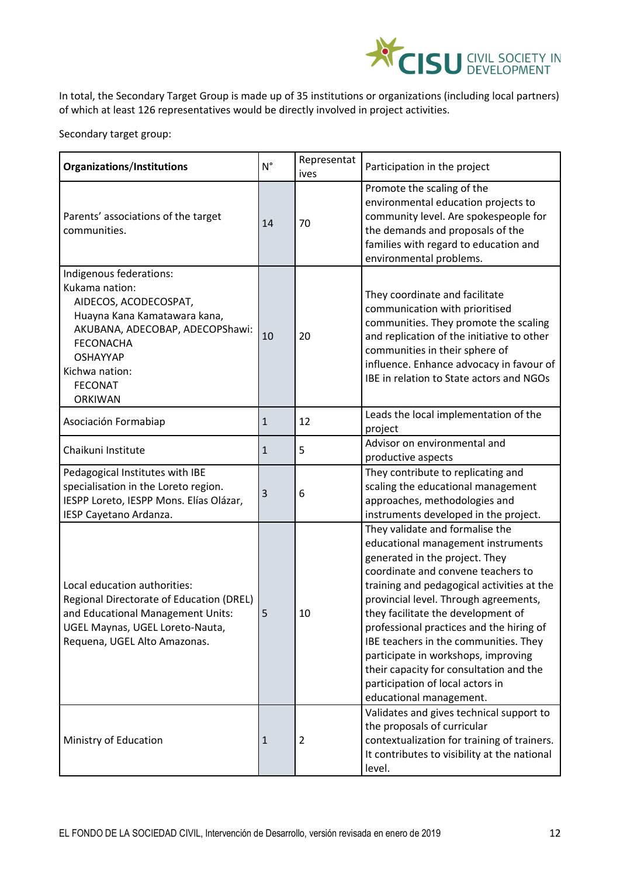

In total, the Secondary Target Group is made up of 35 institutions or organizations (including local partners) of which at least 126 representatives would be directly involved in project activities.

Secondary target group:

| Organizations/Institutions                                                                                                                                                                                                         | $N^{\circ}$  | Representat<br>ives | Participation in the project                                                                                                                                                                                                                                                                                                                                                                                                                                                                                     |
|------------------------------------------------------------------------------------------------------------------------------------------------------------------------------------------------------------------------------------|--------------|---------------------|------------------------------------------------------------------------------------------------------------------------------------------------------------------------------------------------------------------------------------------------------------------------------------------------------------------------------------------------------------------------------------------------------------------------------------------------------------------------------------------------------------------|
| Parents' associations of the target<br>communities.                                                                                                                                                                                |              | 70                  | Promote the scaling of the<br>environmental education projects to<br>community level. Are spokespeople for<br>the demands and proposals of the<br>families with regard to education and<br>environmental problems.                                                                                                                                                                                                                                                                                               |
| Indigenous federations:<br>Kukama nation:<br>AIDECOS, ACODECOSPAT,<br>Huayna Kana Kamatawara kana,<br>AKUBANA, ADECOBAP, ADECOPShawi:<br><b>FECONACHA</b><br><b>OSHAYYAP</b><br>Kichwa nation:<br><b>FECONAT</b><br><b>ORKIWAN</b> | 10           | 20                  | They coordinate and facilitate<br>communication with prioritised<br>communities. They promote the scaling<br>and replication of the initiative to other<br>communities in their sphere of<br>influence. Enhance advocacy in favour of<br>IBE in relation to State actors and NGOs                                                                                                                                                                                                                                |
| Asociación Formabiap                                                                                                                                                                                                               | $\mathbf{1}$ | 12                  | Leads the local implementation of the<br>project                                                                                                                                                                                                                                                                                                                                                                                                                                                                 |
| Chaikuni Institute                                                                                                                                                                                                                 | $\mathbf{1}$ | 5                   | Advisor on environmental and<br>productive aspects                                                                                                                                                                                                                                                                                                                                                                                                                                                               |
| Pedagogical Institutes with IBE<br>specialisation in the Loreto region.<br>IESPP Loreto, IESPP Mons. Elías Olázar,<br>IESP Cayetano Ardanza.                                                                                       | 3            | 6                   | They contribute to replicating and<br>scaling the educational management<br>approaches, methodologies and<br>instruments developed in the project.                                                                                                                                                                                                                                                                                                                                                               |
| Local education authorities:<br>Regional Directorate of Education (DREL)<br>and Educational Management Units:<br>UGEL Maynas, UGEL Loreto-Nauta,<br>Requena, UGEL Alto Amazonas.                                                   | 5            | 10                  | They validate and formalise the<br>educational management instruments<br>generated in the project. They<br>coordinate and convene teachers to<br>training and pedagogical activities at the<br>provincial level. Through agreements,<br>they facilitate the development of<br>professional practices and the hiring of<br>IBE teachers in the communities. They<br>participate in workshops, improving<br>their capacity for consultation and the<br>participation of local actors in<br>educational management. |
| Ministry of Education                                                                                                                                                                                                              | $\mathbf{1}$ | $\overline{2}$      | Validates and gives technical support to<br>the proposals of curricular<br>contextualization for training of trainers.<br>It contributes to visibility at the national<br>level.                                                                                                                                                                                                                                                                                                                                 |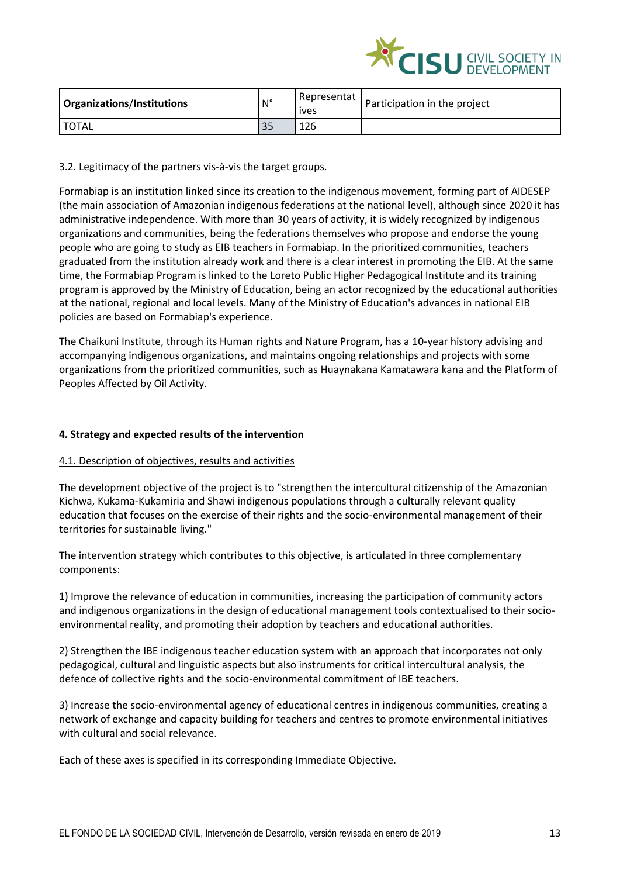

| Organizations/Institutions | $\mathsf{N}^\circ$ | Representat<br>ives | Participation in the project |
|----------------------------|--------------------|---------------------|------------------------------|
| <b>TOTAL</b>               | 35                 | 126                 |                              |

## 3.2. Legitimacy of the partners vis-à-vis the target groups.

Formabiap is an institution linked since its creation to the indigenous movement, forming part of AIDESEP (the main association of Amazonian indigenous federations at the national level), although since 2020 it has administrative independence. With more than 30 years of activity, it is widely recognized by indigenous organizations and communities, being the federations themselves who propose and endorse the young people who are going to study as EIB teachers in Formabiap. In the prioritized communities, teachers graduated from the institution already work and there is a clear interest in promoting the EIB. At the same time, the Formabiap Program is linked to the Loreto Public Higher Pedagogical Institute and its training program is approved by the Ministry of Education, being an actor recognized by the educational authorities at the national, regional and local levels. Many of the Ministry of Education's advances in national EIB policies are based on Formabiap's experience.

The Chaikuni Institute, through its Human rights and Nature Program, has a 10-year history advising and accompanying indigenous organizations, and maintains ongoing relationships and projects with some organizations from the prioritized communities, such as Huaynakana Kamatawara kana and the Platform of Peoples Affected by Oil Activity.

#### **4. Strategy and expected results of the intervention**

## 4.1. Description of objectives, results and activities

The development objective of the project is to "strengthen the intercultural citizenship of the Amazonian Kichwa, Kukama-Kukamiria and Shawi indigenous populations through a culturally relevant quality education that focuses on the exercise of their rights and the socio-environmental management of their territories for sustainable living."

The intervention strategy which contributes to this objective, is articulated in three complementary components:

1) Improve the relevance of education in communities, increasing the participation of community actors and indigenous organizations in the design of educational management tools contextualised to their socioenvironmental reality, and promoting their adoption by teachers and educational authorities.

2) Strengthen the IBE indigenous teacher education system with an approach that incorporates not only pedagogical, cultural and linguistic aspects but also instruments for critical intercultural analysis, the defence of collective rights and the socio-environmental commitment of IBE teachers.

3) Increase the socio-environmental agency of educational centres in indigenous communities, creating a network of exchange and capacity building for teachers and centres to promote environmental initiatives with cultural and social relevance.

Each of these axes is specified in its corresponding Immediate Objective.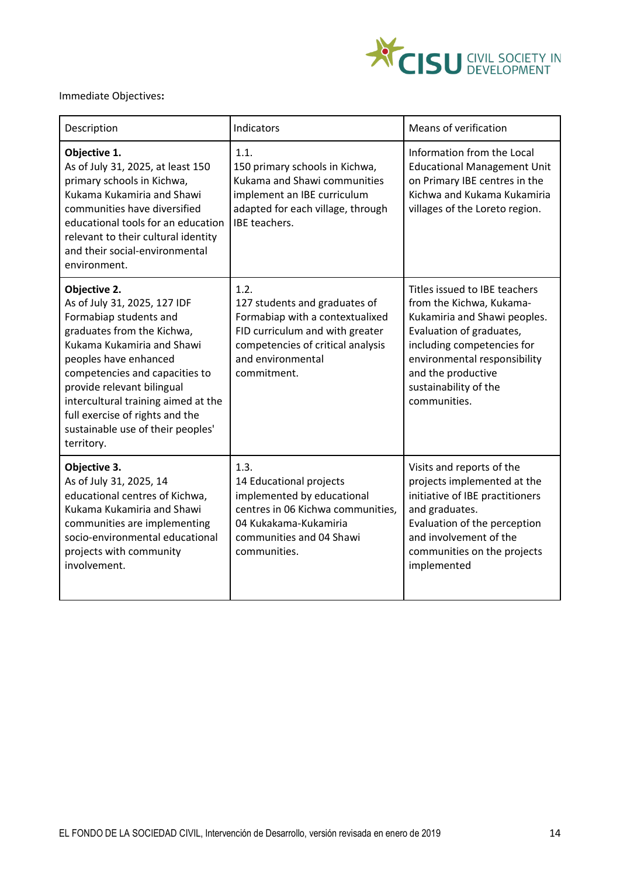

# Immediate Objectives**:**

| Description                                                                                                                                                                                                                                                                                                                                              | Indicators                                                                                                                                                                           | <b>Means of verification</b>                                                                                                                                                                                                                       |
|----------------------------------------------------------------------------------------------------------------------------------------------------------------------------------------------------------------------------------------------------------------------------------------------------------------------------------------------------------|--------------------------------------------------------------------------------------------------------------------------------------------------------------------------------------|----------------------------------------------------------------------------------------------------------------------------------------------------------------------------------------------------------------------------------------------------|
| Objective 1.<br>As of July 31, 2025, at least 150<br>primary schools in Kichwa,<br>Kukama Kukamiria and Shawi<br>communities have diversified<br>educational tools for an education<br>relevant to their cultural identity<br>and their social-environmental<br>environment.                                                                             | 1.1.<br>150 primary schools in Kichwa,<br>Kukama and Shawi communities<br>implement an IBE curriculum<br>adapted for each village, through<br>IBE teachers.                          | Information from the Local<br><b>Educational Management Unit</b><br>on Primary IBE centres in the<br>Kichwa and Kukama Kukamiria<br>villages of the Loreto region.                                                                                 |
| Objective 2.<br>As of July 31, 2025, 127 IDF<br>Formabiap students and<br>graduates from the Kichwa,<br>Kukama Kukamiria and Shawi<br>peoples have enhanced<br>competencies and capacities to<br>provide relevant bilingual<br>intercultural training aimed at the<br>full exercise of rights and the<br>sustainable use of their peoples'<br>territory. | 1.2.<br>127 students and graduates of<br>Formabiap with a contextualixed<br>FID curriculum and with greater<br>competencies of critical analysis<br>and environmental<br>commitment. | Titles issued to IBE teachers<br>from the Kichwa, Kukama-<br>Kukamiria and Shawi peoples.<br>Evaluation of graduates,<br>including competencies for<br>environmental responsibility<br>and the productive<br>sustainability of the<br>communities. |
| Objective 3.<br>As of July 31, 2025, 14<br>educational centres of Kichwa,<br>Kukama Kukamiria and Shawi<br>communities are implementing<br>socio-environmental educational<br>projects with community<br>involvement.                                                                                                                                    | 1.3.<br>14 Educational projects<br>implemented by educational<br>centres in 06 Kichwa communities,<br>04 Kukakama-Kukamiria<br>communities and 04 Shawi<br>communities.              | Visits and reports of the<br>projects implemented at the<br>initiative of IBE practitioners<br>and graduates.<br>Evaluation of the perception<br>and involvement of the<br>communities on the projects<br>implemented                              |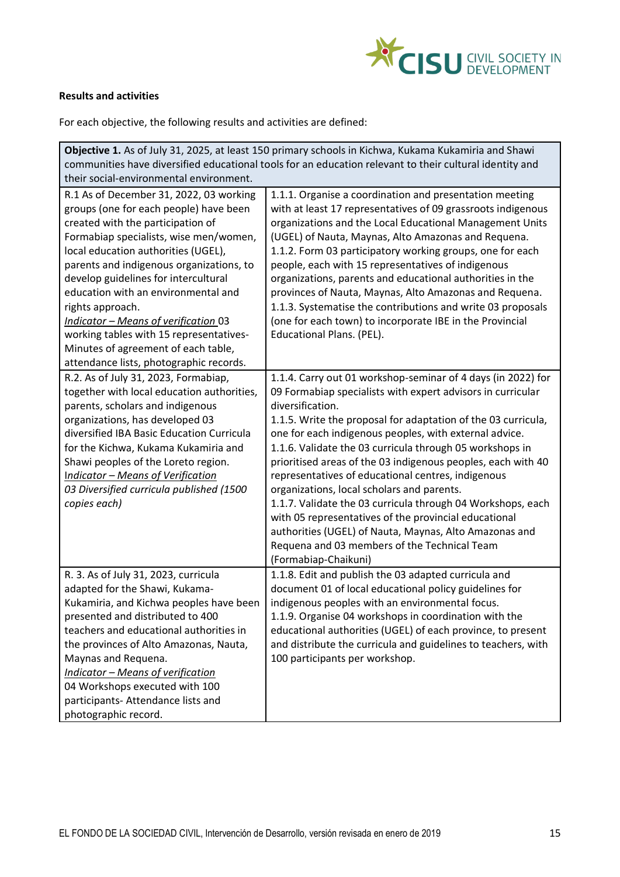

# **Results and activities**

For each objective, the following results and activities are defined:

| Objective 1. As of July 31, 2025, at least 150 primary schools in Kichwa, Kukama Kukamiria and Shawi    |                                                               |  |  |  |
|---------------------------------------------------------------------------------------------------------|---------------------------------------------------------------|--|--|--|
| communities have diversified educational tools for an education relevant to their cultural identity and |                                                               |  |  |  |
| their social-environmental environment.                                                                 |                                                               |  |  |  |
| R.1 As of December 31, 2022, 03 working                                                                 | 1.1.1. Organise a coordination and presentation meeting       |  |  |  |
| groups (one for each people) have been                                                                  | with at least 17 representatives of 09 grassroots indigenous  |  |  |  |
| created with the participation of                                                                       | organizations and the Local Educational Management Units      |  |  |  |
| Formabiap specialists, wise men/women,                                                                  | (UGEL) of Nauta, Maynas, Alto Amazonas and Requena.           |  |  |  |
| local education authorities (UGEL),                                                                     | 1.1.2. Form 03 participatory working groups, one for each     |  |  |  |
| parents and indigenous organizations, to                                                                | people, each with 15 representatives of indigenous            |  |  |  |
| develop guidelines for intercultural                                                                    | organizations, parents and educational authorities in the     |  |  |  |
| education with an environmental and                                                                     | provinces of Nauta, Maynas, Alto Amazonas and Requena.        |  |  |  |
| rights approach.                                                                                        | 1.1.3. Systematise the contributions and write 03 proposals   |  |  |  |
| Indicator - Means of verification 03                                                                    | (one for each town) to incorporate IBE in the Provincial      |  |  |  |
| working tables with 15 representatives-                                                                 | Educational Plans. (PEL).                                     |  |  |  |
| Minutes of agreement of each table,                                                                     |                                                               |  |  |  |
| attendance lists, photographic records.                                                                 |                                                               |  |  |  |
| R.2. As of July 31, 2023, Formabiap,                                                                    | 1.1.4. Carry out 01 workshop-seminar of 4 days (in 2022) for  |  |  |  |
| together with local education authorities,                                                              | 09 Formabiap specialists with expert advisors in curricular   |  |  |  |
| parents, scholars and indigenous                                                                        | diversification.                                              |  |  |  |
| organizations, has developed 03                                                                         | 1.1.5. Write the proposal for adaptation of the 03 curricula, |  |  |  |
| diversified IBA Basic Education Curricula                                                               | one for each indigenous peoples, with external advice.        |  |  |  |
| for the Kichwa, Kukama Kukamiria and                                                                    | 1.1.6. Validate the 03 curricula through 05 workshops in      |  |  |  |
| Shawi peoples of the Loreto region.                                                                     | prioritised areas of the 03 indigenous peoples, each with 40  |  |  |  |
| <b>Indicator - Means of Verification</b>                                                                | representatives of educational centres, indigenous            |  |  |  |
| 03 Diversified curricula published (1500                                                                | organizations, local scholars and parents.                    |  |  |  |
| copies each)                                                                                            | 1.1.7. Validate the 03 curricula through 04 Workshops, each   |  |  |  |
|                                                                                                         | with 05 representatives of the provincial educational         |  |  |  |
|                                                                                                         | authorities (UGEL) of Nauta, Maynas, Alto Amazonas and        |  |  |  |
|                                                                                                         | Requena and 03 members of the Technical Team                  |  |  |  |
|                                                                                                         | (Formabiap-Chaikuni)                                          |  |  |  |
| R. 3. As of July 31, 2023, curricula                                                                    | 1.1.8. Edit and publish the 03 adapted curricula and          |  |  |  |
| adapted for the Shawi, Kukama-                                                                          | document 01 of local educational policy guidelines for        |  |  |  |
| Kukamiria, and Kichwa peoples have been                                                                 | indigenous peoples with an environmental focus.               |  |  |  |
| presented and distributed to 400                                                                        | 1.1.9. Organise 04 workshops in coordination with the         |  |  |  |
| teachers and educational authorities in                                                                 | educational authorities (UGEL) of each province, to present   |  |  |  |
| the provinces of Alto Amazonas, Nauta,                                                                  | and distribute the curricula and guidelines to teachers, with |  |  |  |
| Maynas and Requena.                                                                                     | 100 participants per workshop.                                |  |  |  |
| <b>Indicator - Means of verification</b>                                                                |                                                               |  |  |  |
| 04 Workshops executed with 100                                                                          |                                                               |  |  |  |
| participants- Attendance lists and                                                                      |                                                               |  |  |  |
| photographic record.                                                                                    |                                                               |  |  |  |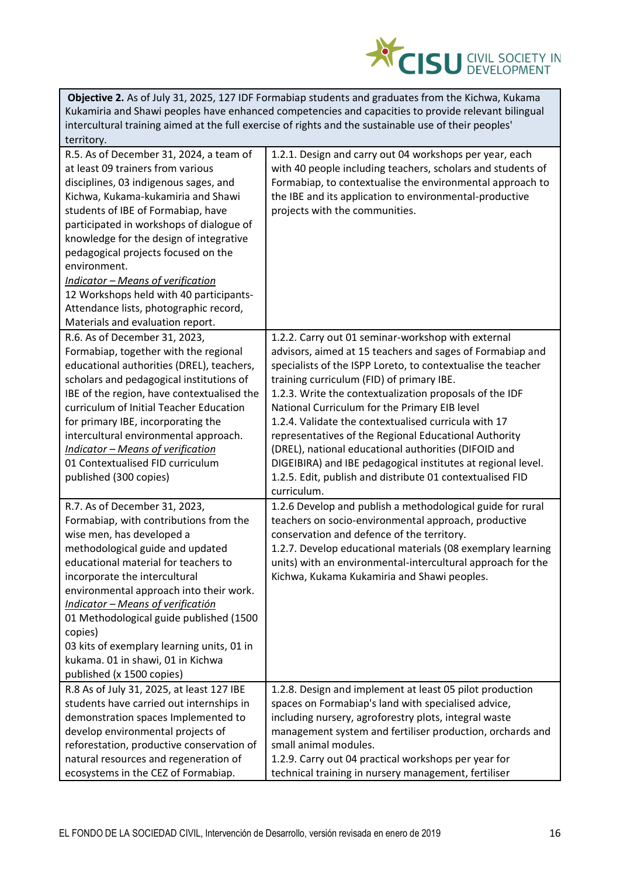

| <b>Objective 2.</b> As of July 31, 2025, 127 IDF Formabiap students and graduates from the Kichwa, Kukama |
|-----------------------------------------------------------------------------------------------------------|
| Kukamiria and Shawi peoples have enhanced competencies and capacities to provide relevant bilingual       |
| intercultural training aimed at the full exercise of rights and the sustainable use of their peoples'     |
| territory.                                                                                                |

| R.5. As of December 31, 2024, a team of<br>at least 09 trainers from various<br>disciplines, 03 indigenous sages, and<br>Kichwa, Kukama-kukamiria and Shawi<br>students of IBE of Formabiap, have<br>participated in workshops of dialogue of<br>knowledge for the design of integrative<br>pedagogical projects focused on the<br>environment.<br><b>Indicator - Means of verification</b><br>12 Workshops held with 40 participants-<br>Attendance lists, photographic record,<br>Materials and evaluation report. | 1.2.1. Design and carry out 04 workshops per year, each<br>with 40 people including teachers, scholars and students of<br>Formabiap, to contextualise the environmental approach to<br>the IBE and its application to environmental-productive<br>projects with the communities.                                                                                                                                                                                                                                                                                                                                                                              |
|----------------------------------------------------------------------------------------------------------------------------------------------------------------------------------------------------------------------------------------------------------------------------------------------------------------------------------------------------------------------------------------------------------------------------------------------------------------------------------------------------------------------|---------------------------------------------------------------------------------------------------------------------------------------------------------------------------------------------------------------------------------------------------------------------------------------------------------------------------------------------------------------------------------------------------------------------------------------------------------------------------------------------------------------------------------------------------------------------------------------------------------------------------------------------------------------|
| R.6. As of December 31, 2023,<br>Formabiap, together with the regional<br>educational authorities (DREL), teachers,<br>scholars and pedagogical institutions of<br>IBE of the region, have contextualised the<br>curriculum of Initial Teacher Education<br>for primary IBE, incorporating the<br>intercultural environmental approach.<br><b>Indicator - Means of verification</b><br>01 Contextualised FID curriculum<br>published (300 copies)                                                                    | 1.2.2. Carry out 01 seminar-workshop with external<br>advisors, aimed at 15 teachers and sages of Formabiap and<br>specialists of the ISPP Loreto, to contextualise the teacher<br>training curriculum (FID) of primary IBE.<br>1.2.3. Write the contextualization proposals of the IDF<br>National Curriculum for the Primary EIB level<br>1.2.4. Validate the contextualised curricula with 17<br>representatives of the Regional Educational Authority<br>(DREL), national educational authorities (DIFOID and<br>DIGEIBIRA) and IBE pedagogical institutes at regional level.<br>1.2.5. Edit, publish and distribute 01 contextualised FID<br>curriculum. |
| R.7. As of December 31, 2023,<br>Formabiap, with contributions from the<br>wise men, has developed a<br>methodological guide and updated<br>educational material for teachers to<br>incorporate the intercultural<br>environmental approach into their work.<br>Indicator - Means of verificatión<br>01 Methodological guide published (1500<br>copies)<br>03 kits of exemplary learning units, 01 in<br>kukama. 01 in shawi, 01 in Kichwa<br>published (x 1500 copies)                                              | 1.2.6 Develop and publish a methodological guide for rural<br>teachers on socio-environmental approach, productive<br>conservation and defence of the territory.<br>1.2.7. Develop educational materials (08 exemplary learning<br>units) with an environmental-intercultural approach for the<br>Kichwa, Kukama Kukamiria and Shawi peoples.                                                                                                                                                                                                                                                                                                                 |
| R.8 As of July 31, 2025, at least 127 IBE<br>students have carried out internships in<br>demonstration spaces Implemented to<br>develop environmental projects of<br>reforestation, productive conservation of<br>natural resources and regeneration of<br>ecosystems in the CEZ of Formabiap.                                                                                                                                                                                                                       | 1.2.8. Design and implement at least 05 pilot production<br>spaces on Formabiap's land with specialised advice,<br>including nursery, agroforestry plots, integral waste<br>management system and fertiliser production, orchards and<br>small animal modules.<br>1.2.9. Carry out 04 practical workshops per year for<br>technical training in nursery management, fertiliser                                                                                                                                                                                                                                                                                |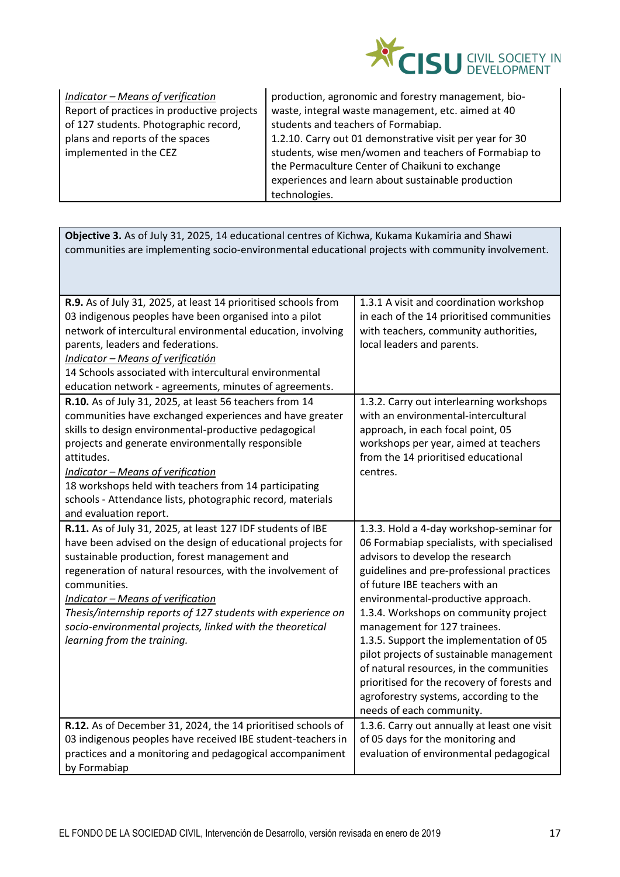

| Indicator - Means of verification          |  |  |
|--------------------------------------------|--|--|
| Report of practices in productive projects |  |  |
| of 127 students. Photographic record,      |  |  |
| plans and reports of the spaces            |  |  |
| implemented in the CEZ                     |  |  |
|                                            |  |  |

production, agronomic and forestry management, biowaste, integral waste management, etc. aimed at 40 students and teachers of Formabiap. 1.2.10. Carry out 01 demonstrative visit per year for 30 students, wise men/women and teachers of Formabiap to the Permaculture Center of Chaikuni to exchange experiences and learn about sustainable production technologies.

**Objective 3.** As of July 31, 2025, 14 educational centres of Kichwa, Kukama Kukamiria and Shawi communities are implementing socio-environmental educational projects with community involvement.

| R.9. As of July 31, 2025, at least 14 prioritised schools from<br>1.3.1 A visit and coordination workshop    |  |
|--------------------------------------------------------------------------------------------------------------|--|
| 03 indigenous peoples have been organised into a pilot<br>in each of the 14 prioritised communities          |  |
| with teachers, community authorities,<br>network of intercultural environmental education, involving         |  |
| local leaders and parents.<br>parents, leaders and federations.                                              |  |
| Indicator - Means of verificatión                                                                            |  |
| 14 Schools associated with intercultural environmental                                                       |  |
| education network - agreements, minutes of agreements.                                                       |  |
| R.10. As of July 31, 2025, at least 56 teachers from 14<br>1.3.2. Carry out interlearning workshops          |  |
| with an environmental-intercultural<br>communities have exchanged experiences and have greater               |  |
| skills to design environmental-productive pedagogical<br>approach, in each focal point, 05                   |  |
| projects and generate environmentally responsible<br>workshops per year, aimed at teachers                   |  |
| from the 14 prioritised educational<br>attitudes.                                                            |  |
| <b>Indicator - Means of verification</b><br>centres.                                                         |  |
| 18 workshops held with teachers from 14 participating                                                        |  |
| schools - Attendance lists, photographic record, materials                                                   |  |
| and evaluation report.                                                                                       |  |
| R.11. As of July 31, 2025, at least 127 IDF students of IBE<br>1.3.3. Hold a 4-day workshop-seminar for      |  |
| have been advised on the design of educational projects for<br>06 Formabiap specialists, with specialised    |  |
| advisors to develop the research<br>sustainable production, forest management and                            |  |
| guidelines and pre-professional practices<br>regeneration of natural resources, with the involvement of      |  |
| of future IBE teachers with an<br>communities.                                                               |  |
| <b>Indicator - Means of verification</b><br>environmental-productive approach.                               |  |
| Thesis/internship reports of 127 students with experience on<br>1.3.4. Workshops on community project        |  |
| management for 127 trainees.<br>socio-environmental projects, linked with the theoretical                    |  |
| learning from the training.<br>1.3.5. Support the implementation of 05                                       |  |
| pilot projects of sustainable management                                                                     |  |
| of natural resources, in the communities                                                                     |  |
| prioritised for the recovery of forests and                                                                  |  |
| agroforestry systems, according to the                                                                       |  |
| needs of each community.                                                                                     |  |
| 1.3.6. Carry out annually at least one visit<br>R.12. As of December 31, 2024, the 14 prioritised schools of |  |
| of 05 days for the monitoring and<br>03 indigenous peoples have received IBE student-teachers in             |  |
| practices and a monitoring and pedagogical accompaniment<br>evaluation of environmental pedagogical          |  |
| by Formabiap                                                                                                 |  |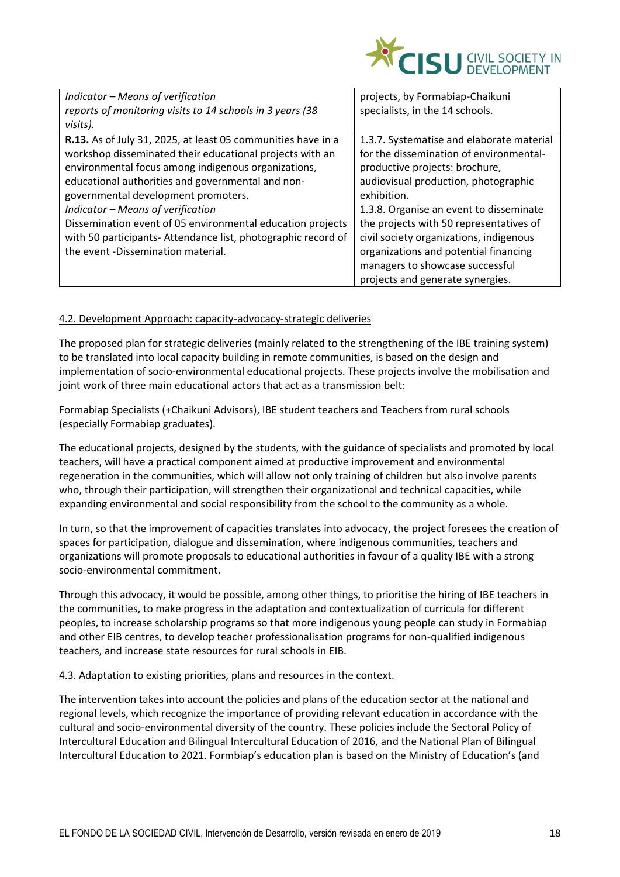

| Indicator - Means of verification<br>reports of monitoring visits to 14 schools in 3 years (38<br>visits).                                                                                                                                                                                                                                                                                                                                                                                   | projects, by Formabiap-Chaikuni<br>specialists, in the 14 schools.                                                                                                                                                                                                                                                                                                                                                             |
|----------------------------------------------------------------------------------------------------------------------------------------------------------------------------------------------------------------------------------------------------------------------------------------------------------------------------------------------------------------------------------------------------------------------------------------------------------------------------------------------|--------------------------------------------------------------------------------------------------------------------------------------------------------------------------------------------------------------------------------------------------------------------------------------------------------------------------------------------------------------------------------------------------------------------------------|
| R.13. As of July 31, 2025, at least 05 communities have in a<br>workshop disseminated their educational projects with an<br>environmental focus among indigenous organizations,<br>educational authorities and governmental and non-<br>governmental development promoters.<br><b>Indicator - Means of verification</b><br>Dissemination event of 05 environmental education projects<br>with 50 participants- Attendance list, photographic record of<br>the event -Dissemination material. | 1.3.7. Systematise and elaborate material<br>for the dissemination of environmental-<br>productive projects: brochure,<br>audiovisual production, photographic<br>exhibition.<br>1.3.8. Organise an event to disseminate<br>the projects with 50 representatives of<br>civil society organizations, indigenous<br>organizations and potential financing<br>managers to showcase successful<br>projects and generate synergies. |

## 4.2. Development Approach: capacity-advocacy-strategic deliveries

The proposed plan for strategic deliveries (mainly related to the strengthening of the IBE training system) to be translated into local capacity building in remote communities, is based on the design and implementation of socio-environmental educational projects. These projects involve the mobilisation and joint work of three main educational actors that act as a transmission belt:

Formabiap Specialists (+Chaikuni Advisors), IBE student teachers and Teachers from rural schools (especially Formabiap graduates).

The educational projects, designed by the students, with the guidance of specialists and promoted by local teachers, will have a practical component aimed at productive improvement and environmental regeneration in the communities, which will allow not only training of children but also involve parents who, through their participation, will strengthen their organizational and technical capacities, while expanding environmental and social responsibility from the school to the community as a whole.

In turn, so that the improvement of capacities translates into advocacy, the project foresees the creation of spaces for participation, dialogue and dissemination, where indigenous communities, teachers and organizations will promote proposals to educational authorities in favour of a quality IBE with a strong socio-environmental commitment.

Through this advocacy, it would be possible, among other things, to prioritise the hiring of IBE teachers in the communities, to make progress in the adaptation and contextualization of curricula for different peoples, to increase scholarship programs so that more indigenous young people can study in Formabiap and other EIB centres, to develop teacher professionalisation programs for non-qualified indigenous teachers, and increase state resources for rural schools in EIB.

## 4.3. Adaptation to existing priorities, plans and resources in the context.

The intervention takes into account the policies and plans of the education sector at the national and regional levels, which recognize the importance of providing relevant education in accordance with the cultural and socio-environmental diversity of the country. These policies include the Sectoral Policy of Intercultural Education and Bilingual Intercultural Education of 2016, and the National Plan of Bilingual Intercultural Education to 2021. Formbiap's education plan is based on the Ministry of Education's (and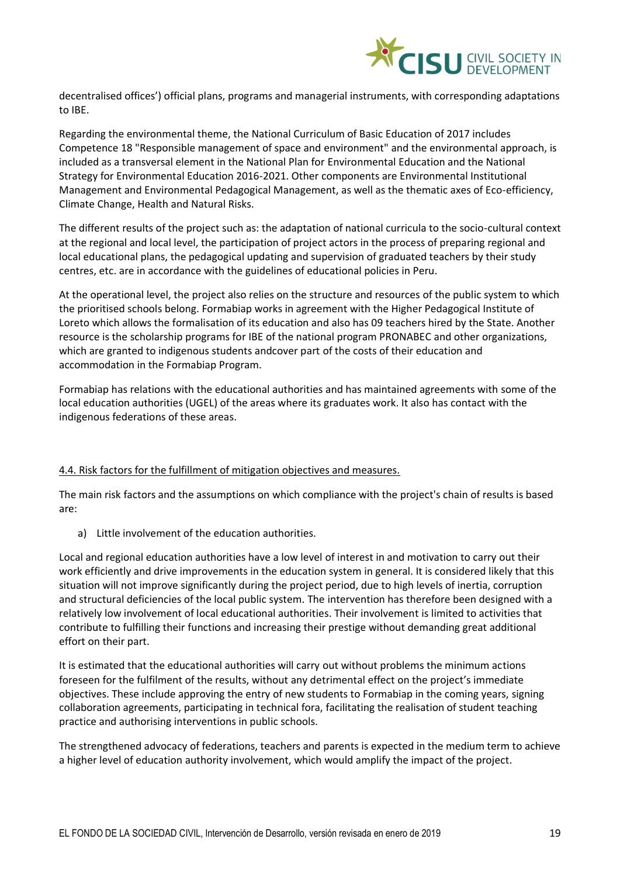

decentralised offices') official plans, programs and managerial instruments, with corresponding adaptations to IBE.

Regarding the environmental theme, the National Curriculum of Basic Education of 2017 includes Competence 18 "Responsible management of space and environment" and the environmental approach, is included as a transversal element in the National Plan for Environmental Education and the National Strategy for Environmental Education 2016-2021. Other components are Environmental Institutional Management and Environmental Pedagogical Management, as well as the thematic axes of Eco-efficiency, Climate Change, Health and Natural Risks.

The different results of the project such as: the adaptation of national curricula to the socio-cultural context at the regional and local level, the participation of project actors in the process of preparing regional and local educational plans, the pedagogical updating and supervision of graduated teachers by their study centres, etc. are in accordance with the guidelines of educational policies in Peru.

At the operational level, the project also relies on the structure and resources of the public system to which the prioritised schools belong. Formabiap works in agreement with the Higher Pedagogical Institute of Loreto which allows the formalisation of its education and also has 09 teachers hired by the State. Another resource is the scholarship programs for IBE of the national program PRONABEC and other organizations, which are granted to indigenous students andcover part of the costs of their education and accommodation in the Formabiap Program.

Formabiap has relations with the educational authorities and has maintained agreements with some of the local education authorities (UGEL) of the areas where its graduates work. It also has contact with the indigenous federations of these areas.

## 4.4. Risk factors for the fulfillment of mitigation objectives and measures.

The main risk factors and the assumptions on which compliance with the project's chain of results is based are:

a) Little involvement of the education authorities.

Local and regional education authorities have a low level of interest in and motivation to carry out their work efficiently and drive improvements in the education system in general. It is considered likely that this situation will not improve significantly during the project period, due to high levels of inertia, corruption and structural deficiencies of the local public system. The intervention has therefore been designed with a relatively low involvement of local educational authorities. Their involvement is limited to activities that contribute to fulfilling their functions and increasing their prestige without demanding great additional effort on their part.

It is estimated that the educational authorities will carry out without problems the minimum actions foreseen for the fulfilment of the results, without any detrimental effect on the project's immediate objectives. These include approving the entry of new students to Formabiap in the coming years, signing collaboration agreements, participating in technical fora, facilitating the realisation of student teaching practice and authorising interventions in public schools.

The strengthened advocacy of federations, teachers and parents is expected in the medium term to achieve a higher level of education authority involvement, which would amplify the impact of the project.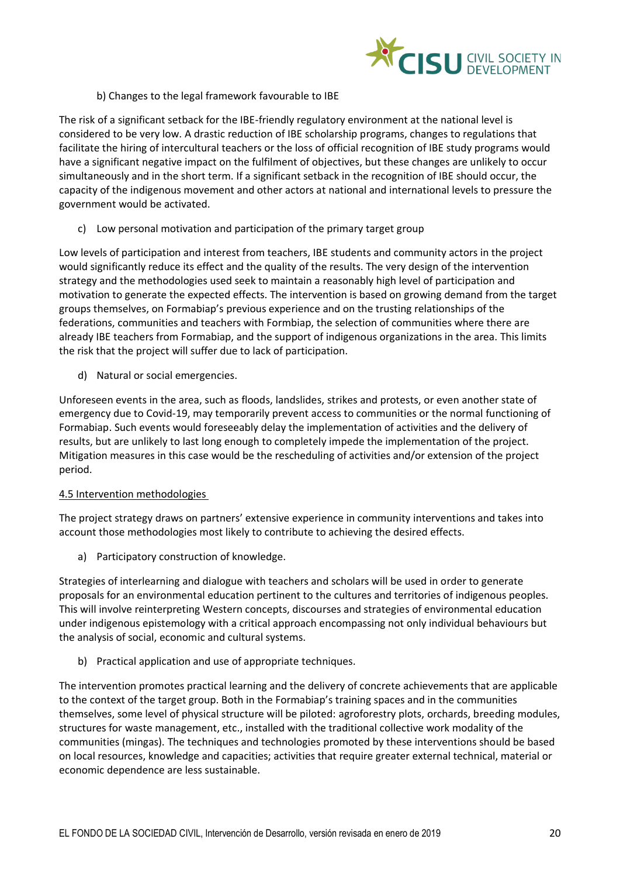

# b) Changes to the legal framework favourable to IBE

The risk of a significant setback for the IBE-friendly regulatory environment at the national level is considered to be very low. A drastic reduction of IBE scholarship programs, changes to regulations that facilitate the hiring of intercultural teachers or the loss of official recognition of IBE study programs would have a significant negative impact on the fulfilment of objectives, but these changes are unlikely to occur simultaneously and in the short term. If a significant setback in the recognition of IBE should occur, the capacity of the indigenous movement and other actors at national and international levels to pressure the government would be activated.

c) Low personal motivation and participation of the primary target group

Low levels of participation and interest from teachers, IBE students and community actors in the project would significantly reduce its effect and the quality of the results. The very design of the intervention strategy and the methodologies used seek to maintain a reasonably high level of participation and motivation to generate the expected effects. The intervention is based on growing demand from the target groups themselves, on Formabiap's previous experience and on the trusting relationships of the federations, communities and teachers with Formbiap, the selection of communities where there are already IBE teachers from Formabiap, and the support of indigenous organizations in the area. This limits the risk that the project will suffer due to lack of participation.

d) Natural or social emergencies.

Unforeseen events in the area, such as floods, landslides, strikes and protests, or even another state of emergency due to Covid-19, may temporarily prevent access to communities or the normal functioning of Formabiap. Such events would foreseeably delay the implementation of activities and the delivery of results, but are unlikely to last long enough to completely impede the implementation of the project. Mitigation measures in this case would be the rescheduling of activities and/or extension of the project period.

## 4.5 Intervention methodologies

The project strategy draws on partners' extensive experience in community interventions and takes into account those methodologies most likely to contribute to achieving the desired effects.

a) Participatory construction of knowledge.

Strategies of interlearning and dialogue with teachers and scholars will be used in order to generate proposals for an environmental education pertinent to the cultures and territories of indigenous peoples. This will involve reinterpreting Western concepts, discourses and strategies of environmental education under indigenous epistemology with a critical approach encompassing not only individual behaviours but the analysis of social, economic and cultural systems.

b) Practical application and use of appropriate techniques.

The intervention promotes practical learning and the delivery of concrete achievements that are applicable to the context of the target group. Both in the Formabiap's training spaces and in the communities themselves, some level of physical structure will be piloted: agroforestry plots, orchards, breeding modules, structures for waste management, etc., installed with the traditional collective work modality of the communities (mingas). The techniques and technologies promoted by these interventions should be based on local resources, knowledge and capacities; activities that require greater external technical, material or economic dependence are less sustainable.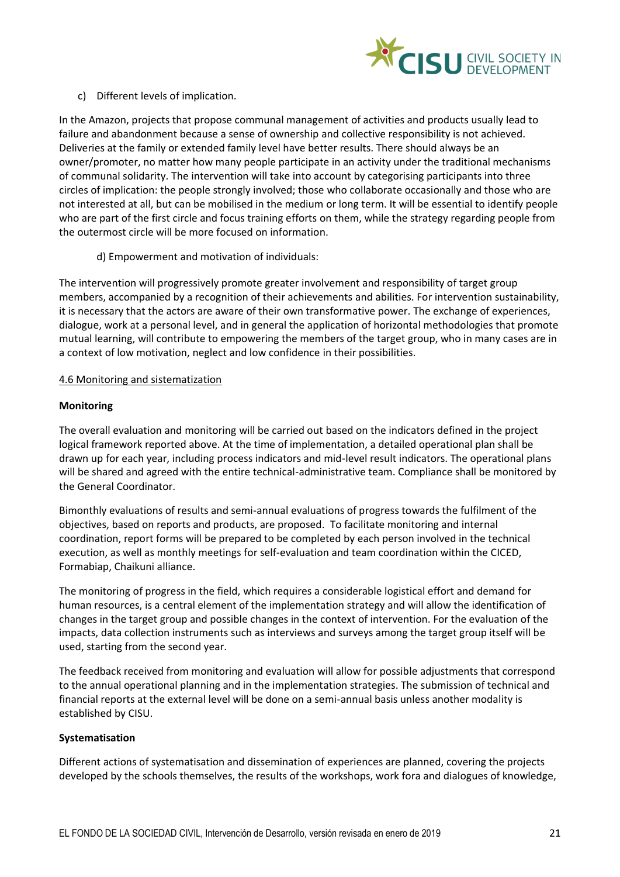

# c) Different levels of implication.

In the Amazon, projects that propose communal management of activities and products usually lead to failure and abandonment because a sense of ownership and collective responsibility is not achieved. Deliveries at the family or extended family level have better results. There should always be an owner/promoter, no matter how many people participate in an activity under the traditional mechanisms of communal solidarity. The intervention will take into account by categorising participants into three circles of implication: the people strongly involved; those who collaborate occasionally and those who are not interested at all, but can be mobilised in the medium or long term. It will be essential to identify people who are part of the first circle and focus training efforts on them, while the strategy regarding people from the outermost circle will be more focused on information.

d) Empowerment and motivation of individuals:

The intervention will progressively promote greater involvement and responsibility of target group members, accompanied by a recognition of their achievements and abilities. For intervention sustainability, it is necessary that the actors are aware of their own transformative power. The exchange of experiences, dialogue, work at a personal level, and in general the application of horizontal methodologies that promote mutual learning, will contribute to empowering the members of the target group, who in many cases are in a context of low motivation, neglect and low confidence in their possibilities.

#### 4.6 Monitoring and sistematization

#### **Monitoring**

The overall evaluation and monitoring will be carried out based on the indicators defined in the project logical framework reported above. At the time of implementation, a detailed operational plan shall be drawn up for each year, including process indicators and mid-level result indicators. The operational plans will be shared and agreed with the entire technical-administrative team. Compliance shall be monitored by the General Coordinator.

Bimonthly evaluations of results and semi-annual evaluations of progress towards the fulfilment of the objectives, based on reports and products, are proposed. To facilitate monitoring and internal coordination, report forms will be prepared to be completed by each person involved in the technical execution, as well as monthly meetings for self-evaluation and team coordination within the CICED, Formabiap, Chaikuni alliance.

The monitoring of progress in the field, which requires a considerable logistical effort and demand for human resources, is a central element of the implementation strategy and will allow the identification of changes in the target group and possible changes in the context of intervention. For the evaluation of the impacts, data collection instruments such as interviews and surveys among the target group itself will be used, starting from the second year.

The feedback received from monitoring and evaluation will allow for possible adjustments that correspond to the annual operational planning and in the implementation strategies. The submission of technical and financial reports at the external level will be done on a semi-annual basis unless another modality is established by CISU.

## **Systematisation**

Different actions of systematisation and dissemination of experiences are planned, covering the projects developed by the schools themselves, the results of the workshops, work fora and dialogues of knowledge,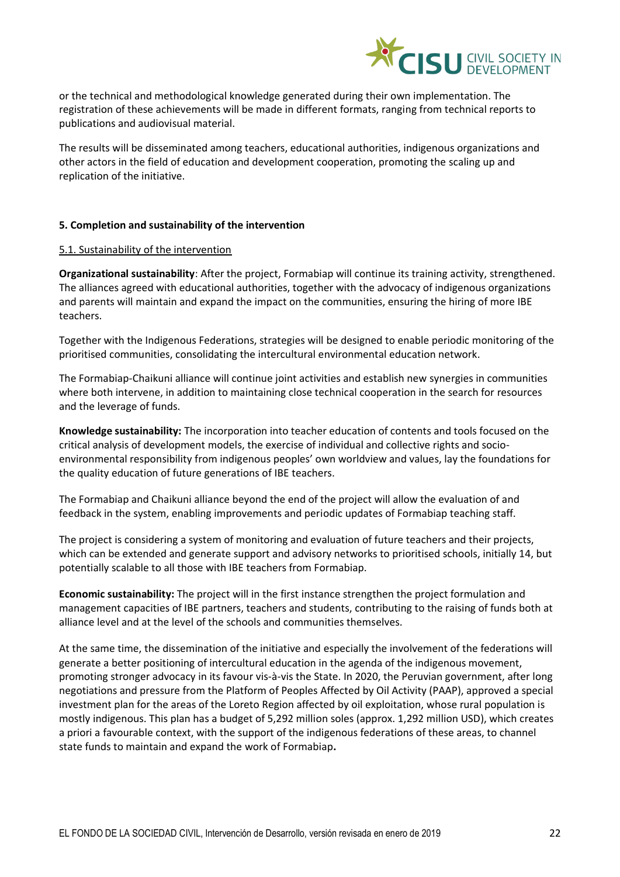

or the technical and methodological knowledge generated during their own implementation. The registration of these achievements will be made in different formats, ranging from technical reports to publications and audiovisual material.

The results will be disseminated among teachers, educational authorities, indigenous organizations and other actors in the field of education and development cooperation, promoting the scaling up and replication of the initiative.

#### **5. Completion and sustainability of the intervention**

#### 5.1. Sustainability of the intervention

**Organizational sustainability**: After the project, Formabiap will continue its training activity, strengthened. The alliances agreed with educational authorities, together with the advocacy of indigenous organizations and parents will maintain and expand the impact on the communities, ensuring the hiring of more IBE teachers.

Together with the Indigenous Federations, strategies will be designed to enable periodic monitoring of the prioritised communities, consolidating the intercultural environmental education network.

The Formabiap-Chaikuni alliance will continue joint activities and establish new synergies in communities where both intervene, in addition to maintaining close technical cooperation in the search for resources and the leverage of funds.

**Knowledge sustainability:** The incorporation into teacher education of contents and tools focused on the critical analysis of development models, the exercise of individual and collective rights and socioenvironmental responsibility from indigenous peoples' own worldview and values, lay the foundations for the quality education of future generations of IBE teachers.

The Formabiap and Chaikuni alliance beyond the end of the project will allow the evaluation of and feedback in the system, enabling improvements and periodic updates of Formabiap teaching staff.

The project is considering a system of monitoring and evaluation of future teachers and their projects, which can be extended and generate support and advisory networks to prioritised schools, initially 14, but potentially scalable to all those with IBE teachers from Formabiap.

**Economic sustainability:** The project will in the first instance strengthen the project formulation and management capacities of IBE partners, teachers and students, contributing to the raising of funds both at alliance level and at the level of the schools and communities themselves.

At the same time, the dissemination of the initiative and especially the involvement of the federations will generate a better positioning of intercultural education in the agenda of the indigenous movement, promoting stronger advocacy in its favour vis-à-vis the State. In 2020, the Peruvian government, after long negotiations and pressure from the Platform of Peoples Affected by Oil Activity (PAAP), approved a special investment plan for the areas of the Loreto Region affected by oil exploitation, whose rural population is mostly indigenous. This plan has a budget of 5,292 million soles (approx. 1,292 million USD), which creates a priori a favourable context, with the support of the indigenous federations of these areas, to channel state funds to maintain and expand the work of Formabiap**.**